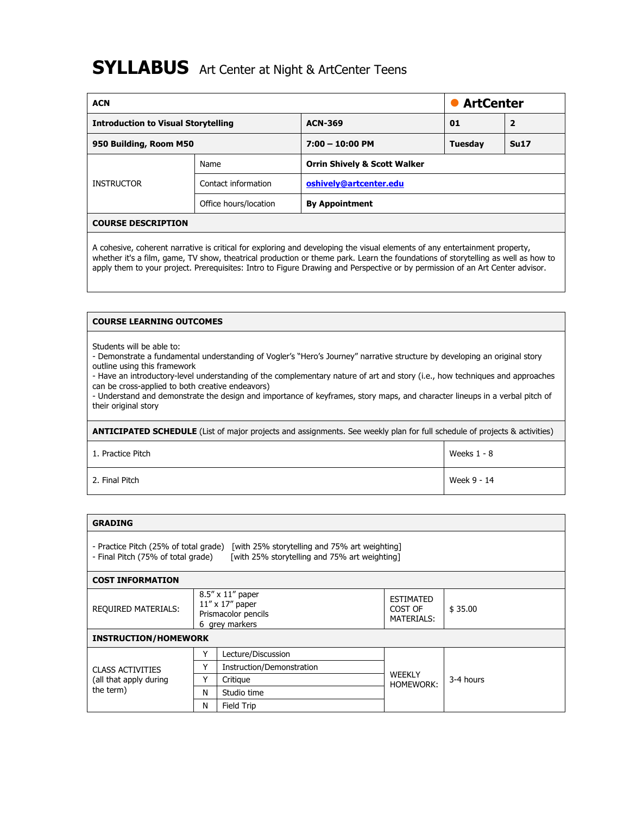# **SYLLABUS** Art Center at Night & ArtCenter Teens

| <b>ACN</b>                                 |                       |                                         | <b>ArtCenter</b> |              |  |  |
|--------------------------------------------|-----------------------|-----------------------------------------|------------------|--------------|--|--|
| <b>Introduction to Visual Storytelling</b> |                       | <b>ACN-369</b>                          | 01               | $\mathbf{2}$ |  |  |
| 950 Building, Room M50                     |                       | $7:00 - 10:00$ PM                       | <b>Tuesday</b>   | Su17         |  |  |
|                                            | Name                  | <b>Orrin Shively &amp; Scott Walker</b> |                  |              |  |  |
| <b>INSTRUCTOR</b>                          | Contact information   | oshively@artcenter.edu                  |                  |              |  |  |
|                                            | Office hours/location | <b>By Appointment</b>                   |                  |              |  |  |
| <b>COURSE DESCRIPTION</b>                  |                       |                                         |                  |              |  |  |

A cohesive, coherent narrative is critical for exploring and developing the visual elements of any entertainment property, whether it's a film, game, TV show, theatrical production or theme park. Learn the foundations of storytelling as well as how to apply them to your project. Prerequisites: Intro to Figure Drawing and Perspective or by permission of an Art Center advisor.

## **COURSE LEARNING OUTCOMES**

Students will be able to:

- Demonstrate a fundamental understanding of Vogler's "Hero's Journey" narrative structure by developing an original story outline using this framework

- Have an introductory-level understanding of the complementary nature of art and story (i.e., how techniques and approaches can be cross-applied to both creative endeavors)

- Understand and demonstrate the design and importance of keyframes, story maps, and character lineups in a verbal pitch of their original story

**ANTICIPATED SCHEDULE** (List of major projects and assignments. See weekly plan for full schedule of projects & activities)

1. Practice Pitch Neeks 1 - 8

2. Final Pitch Week 9 - 14

| <b>GRADING</b>                                                                                                                                                                |   |                                                                                             |                                           |           |  |
|-------------------------------------------------------------------------------------------------------------------------------------------------------------------------------|---|---------------------------------------------------------------------------------------------|-------------------------------------------|-----------|--|
| - Practice Pitch (25% of total grade)<br>[with 25% storytelling and 75% art weighting]<br>[with 25% storytelling and 75% art weighting]<br>- Final Pitch (75% of total grade) |   |                                                                                             |                                           |           |  |
| <b>COST INFORMATION</b>                                                                                                                                                       |   |                                                                                             |                                           |           |  |
| <b>REQUIRED MATERIALS:</b>                                                                                                                                                    |   | $8.5'' \times 11''$ paper<br>$11''$ x $17''$ paper<br>Prismacolor pencils<br>6 grey markers | <b>ESTIMATED</b><br>COST OF<br>MATERIALS: | \$35.00   |  |
| <b>INSTRUCTION/HOMEWORK</b>                                                                                                                                                   |   |                                                                                             |                                           |           |  |
|                                                                                                                                                                               | Υ | Lecture/Discussion                                                                          |                                           | 3-4 hours |  |
| <b>CLASS ACTIVITIES</b><br>(all that apply during<br>the term)                                                                                                                | Υ | Instruction/Demonstration                                                                   |                                           |           |  |
|                                                                                                                                                                               | Υ | Critique                                                                                    | <b>WEEKLY</b><br><b>HOMEWORK:</b>         |           |  |
|                                                                                                                                                                               | N | Studio time                                                                                 |                                           |           |  |
|                                                                                                                                                                               | N | Field Trip                                                                                  |                                           |           |  |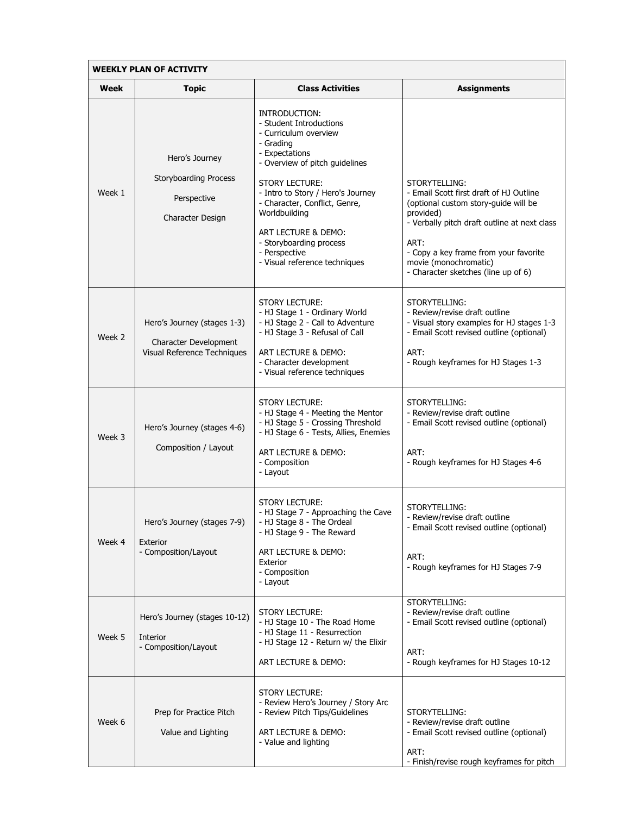| <b>WEEKLY PLAN OF ACTIVITY</b> |                                                                                     |                                                                                                                                                                                                                                                                                                                                                        |                                                                                                                                                                                                                                                                                |  |  |
|--------------------------------|-------------------------------------------------------------------------------------|--------------------------------------------------------------------------------------------------------------------------------------------------------------------------------------------------------------------------------------------------------------------------------------------------------------------------------------------------------|--------------------------------------------------------------------------------------------------------------------------------------------------------------------------------------------------------------------------------------------------------------------------------|--|--|
| Week                           | <b>Topic</b>                                                                        | <b>Class Activities</b>                                                                                                                                                                                                                                                                                                                                | <b>Assignments</b>                                                                                                                                                                                                                                                             |  |  |
| Week 1                         | Hero's Journey<br><b>Storyboarding Process</b><br>Perspective<br>Character Design   | INTRODUCTION:<br>- Student Introductions<br>- Curriculum overview<br>- Grading<br>- Expectations<br>- Overview of pitch guidelines<br><b>STORY LECTURE:</b><br>- Intro to Story / Hero's Journey<br>- Character, Conflict, Genre,<br>Worldbuilding<br>ART LECTURE & DEMO:<br>- Storyboarding process<br>- Perspective<br>- Visual reference techniques | STORYTELLING:<br>- Email Scott first draft of HJ Outline<br>(optional custom story-guide will be<br>provided)<br>- Verbally pitch draft outline at next class<br>ART:<br>- Copy a key frame from your favorite<br>movie (monochromatic)<br>- Character sketches (line up of 6) |  |  |
| Week 2                         | Hero's Journey (stages 1-3)<br>Character Development<br>Visual Reference Techniques | <b>STORY LECTURE:</b><br>- HJ Stage 1 - Ordinary World<br>- HJ Stage 2 - Call to Adventure<br>- HJ Stage 3 - Refusal of Call<br>ART LECTURE & DEMO:<br>- Character development<br>- Visual reference techniques                                                                                                                                        | STORYTELLING:<br>- Review/revise draft outline<br>- Visual story examples for HJ stages 1-3<br>- Email Scott revised outline (optional)<br>ART:<br>- Rough keyframes for HJ Stages 1-3                                                                                         |  |  |
| Week 3                         | Hero's Journey (stages 4-6)<br>Composition / Layout                                 | <b>STORY LECTURE:</b><br>- HJ Stage 4 - Meeting the Mentor<br>- HJ Stage 5 - Crossing Threshold<br>- HJ Stage 6 - Tests, Allies, Enemies<br>ART LECTURE & DEMO:<br>- Composition<br>- Layout                                                                                                                                                           | STORYTELLING:<br>- Review/revise draft outline<br>- Email Scott revised outline (optional)<br>ART:<br>- Rough keyframes for HJ Stages 4-6                                                                                                                                      |  |  |
| Week 4                         | Hero's Journey (stages 7-9)<br>Exterior<br>- Composition/Layout                     | STORY LECTURE:<br>- HJ Stage 7 - Approaching the Cave<br>- HJ Stage 8 - The Ordeal<br>- HJ Stage 9 - The Reward<br>ART LECTURE & DEMO:<br>Exterior<br>- Composition<br>- Layout                                                                                                                                                                        | STORYTELLING:<br>- Review/revise draft outline<br>- Email Scott revised outline (optional)<br>ART:<br>- Rough keyframes for HJ Stages 7-9                                                                                                                                      |  |  |
| Week 5                         | Hero's Journey (stages 10-12)<br><b>Interior</b><br>- Composition/Layout            | <b>STORY LECTURE:</b><br>- HJ Stage 10 - The Road Home<br>- HJ Stage 11 - Resurrection<br>- HJ Stage 12 - Return w/ the Elixir<br>ART LECTURE & DEMO:                                                                                                                                                                                                  | STORYTELLING:<br>- Review/revise draft outline<br>- Email Scott revised outline (optional)<br>ART:<br>- Rough keyframes for HJ Stages 10-12                                                                                                                                    |  |  |
| Week 6                         | Prep for Practice Pitch<br>Value and Lighting                                       | <b>STORY LECTURE:</b><br>- Review Hero's Journey / Story Arc<br>- Review Pitch Tips/Guidelines<br>ART LECTURE & DEMO:<br>- Value and lighting                                                                                                                                                                                                          | STORYTELLING:<br>- Review/revise draft outline<br>- Email Scott revised outline (optional)<br>ART:<br>- Finish/revise rough keyframes for pitch                                                                                                                                |  |  |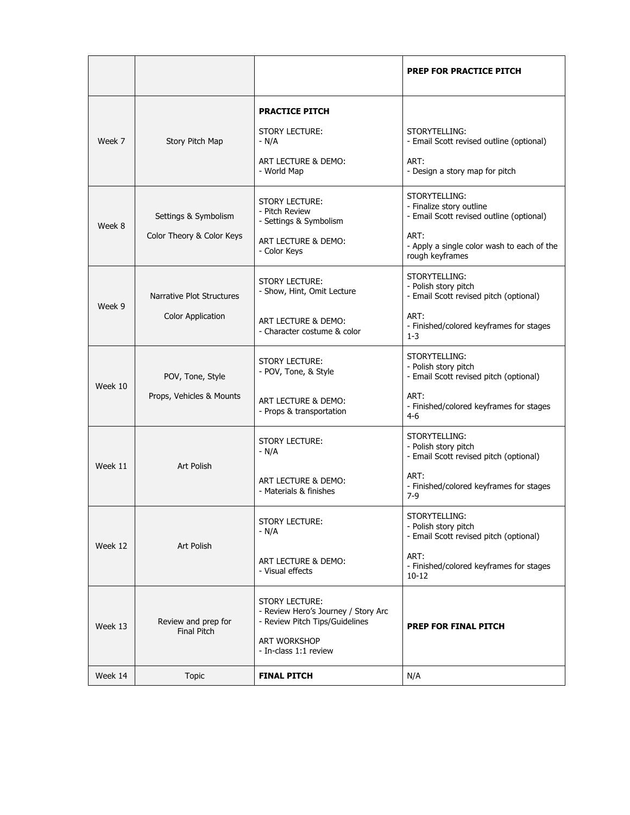|         |                                                       |                                                                                                                                         | <b>PREP FOR PRACTICE PITCH</b>                                                                                                                                 |
|---------|-------------------------------------------------------|-----------------------------------------------------------------------------------------------------------------------------------------|----------------------------------------------------------------------------------------------------------------------------------------------------------------|
| Week 7  | Story Pitch Map                                       | <b>PRACTICE PITCH</b><br><b>STORY LECTURE:</b><br>$- N/A$<br>ART LECTURE & DEMO:<br>- World Map                                         | STORYTELLING:<br>- Email Scott revised outline (optional)<br>ART:<br>- Design a story map for pitch                                                            |
| Week 8  | Settings & Symbolism<br>Color Theory & Color Keys     | STORY LECTURE:<br>- Pitch Review<br>- Settings & Symbolism<br>ART LECTURE & DEMO:<br>- Color Keys                                       | STORYTELLING:<br>- Finalize story outline<br>- Email Scott revised outline (optional)<br>ART:<br>- Apply a single color wash to each of the<br>rough keyframes |
| Week 9  | Narrative Plot Structures<br><b>Color Application</b> | <b>STORY LECTURE:</b><br>- Show, Hint, Omit Lecture<br>ART LECTURE & DEMO:<br>- Character costume & color                               | STORYTELLING:<br>- Polish story pitch<br>- Email Scott revised pitch (optional)<br>ART:<br>- Finished/colored keyframes for stages<br>$1-3$                    |
| Week 10 | POV, Tone, Style<br>Props, Vehicles & Mounts          | STORY LECTURE:<br>- POV, Tone, & Style<br>ART LECTURE & DEMO:<br>- Props & transportation                                               | STORYTELLING:<br>- Polish story pitch<br>- Email Scott revised pitch (optional)<br>ART:<br>- Finished/colored keyframes for stages<br>$4-6$                    |
| Week 11 | <b>Art Polish</b>                                     | <b>STORY LECTURE:</b><br>- N/A<br>ART LECTURE & DEMO:<br>- Materials & finishes                                                         | STORYTELLING:<br>- Polish story pitch<br>- Email Scott revised pitch (optional)<br>ART:<br>- Finished/colored keyframes for stages<br>$7-9$                    |
| Week 12 | Art Polish                                            | <b>STORY LECTURE:</b><br>- N/A<br>ART LECTURE & DEMO:<br>- Visual effects                                                               | STORYTELLING:<br>- Polish story pitch<br>- Email Scott revised pitch (optional)<br>ART:<br>- Finished/colored keyframes for stages<br>$10 - 12$                |
| Week 13 | Review and prep for<br><b>Final Pitch</b>             | <b>STORY LECTURE:</b><br>- Review Hero's Journey / Story Arc<br>- Review Pitch Tips/Guidelines<br>ART WORKSHOP<br>- In-class 1:1 review | <b>PREP FOR FINAL PITCH</b>                                                                                                                                    |
| Week 14 | <b>Topic</b>                                          | <b>FINAL PITCH</b>                                                                                                                      | N/A                                                                                                                                                            |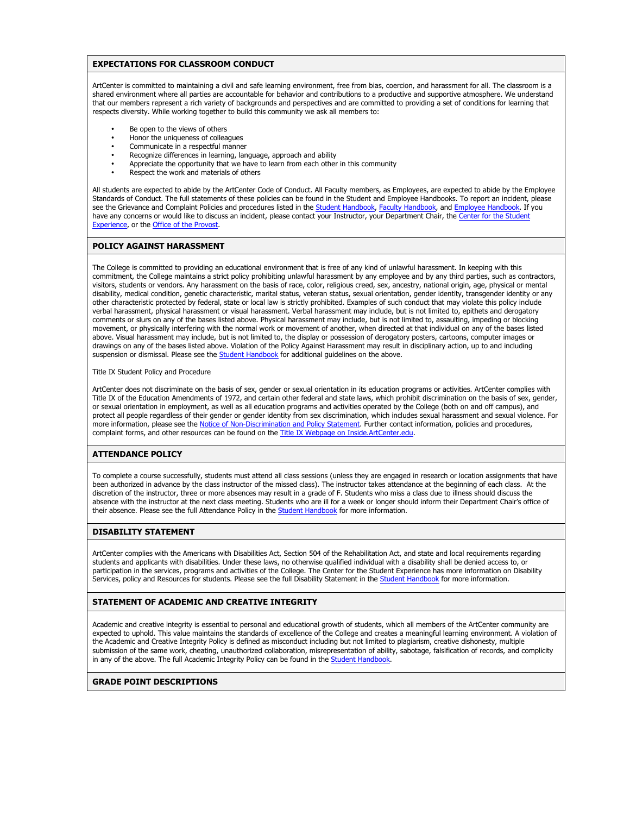## **EXPECTATIONS FOR CLASSROOM CONDUCT**

ArtCenter is committed to maintaining a civil and safe learning environment, free from bias, coercion, and harassment for all. The classroom is a shared environment where all parties are accountable for behavior and contributions to a productive and supportive atmosphere. We understand that our members represent a rich variety of backgrounds and perspectives and are committed to providing a set of conditions for learning that respects diversity. While working together to build this community we ask all members to:

- Be open to the views of others<br>• Honor the uniqueness of collear
- Honor the uniqueness of colleagues
- Communicate in a respectful manner
- Recognize differences in learning, language, approach and ability
- Appreciate the opportunity that we have to learn from each other in this community
- Respect the work and materials of others

All students are expected to abide by the ArtCenter Code of Conduct. All Faculty members, as Employees, are expected to abide by the Employee Standards of Conduct. The full statements of these policies can be found in the Student and Employee Handbooks. To report an incident, please see the Grievance and Complaint Policies and procedures listed in the Student Handbook, Faculty Handbook, and Employee Handbook. If you have any concerns or would like to discuss an incident, please contact your Instructor, your Department Chair, the Center for the Student Experience, or the **Office of the Provost**.

#### **POLICY AGAINST HARASSMENT**

The College is committed to providing an educational environment that is free of any kind of unlawful harassment. In keeping with this commitment, the College maintains a strict policy prohibiting unlawful harassment by any employee and by any third parties, such as contractors, visitors, students or vendors. Any harassment on the basis of race, color, religious creed, sex, ancestry, national origin, age, physical or mental disability, medical condition, genetic characteristic, marital status, veteran status, sexual orientation, gender identity, transgender identity or any other characteristic protected by federal, state or local law is strictly prohibited. Examples of such conduct that may violate this policy include verbal harassment, physical harassment or visual harassment. Verbal harassment may include, but is not limited to, epithets and derogatory comments or slurs on any of the bases listed above. Physical harassment may include, but is not limited to, assaulting, impeding or blocking movement, or physically interfering with the normal work or movement of another, when directed at that individual on any of the bases listed above. Visual harassment may include, but is not limited to, the display or possession of derogatory posters, cartoons, computer images or drawings on any of the bases listed above. Violation of the Policy Against Harassment may result in disciplinary action, up to and including suspension or dismissal. Please see the **Student Handbook** for additional guidelines on the above.

Title IX Student Policy and Procedure

ArtCenter does not discriminate on the basis of sex, gender or sexual orientation in its education programs or activities. ArtCenter complies with Title IX of the Education Amendments of 1972, and certain other federal and state laws, which prohibit discrimination on the basis of sex, gender, or sexual orientation in employment, as well as all education programs and activities operated by the College (both on and off campus), and protect all people regardless of their gender or gender identity from sex discrimination, which includes sexual harassment and sexual violence. For more information, please see the Notice of Non-Discrimination and Policy Statement. Further contact information, policies and procedures, complaint forms, and other resources can be found on the Title IX Webpage on Inside.ArtCenter.edu.

## **ATTENDANCE POLICY**

To complete a course successfully, students must attend all class sessions (unless they are engaged in research or location assignments that have been authorized in advance by the class instructor of the missed class). The instructor takes attendance at the beginning of each class. At the discretion of the instructor, three or more absences may result in a grade of F. Students who miss a class due to illness should discuss the absence with the instructor at the next class meeting. Students who are ill for a week or longer should inform their Department Chair's office of their absence. Please see the full Attendance Policy in the **Student Handbook** for more information.

## **DISABILITY STATEMENT**

ArtCenter complies with the Americans with Disabilities Act, Section 504 of the Rehabilitation Act, and state and local requirements regarding students and applicants with disabilities. Under these laws, no otherwise qualified individual with a disability shall be denied access to, or participation in the services, programs and activities of the College. The Center for the Student Experience has more information on Disability Services, policy and Resources for students. Please see the full Disability Statement in the Student Handbook for more information.

#### **STATEMENT OF ACADEMIC AND CREATIVE INTEGRITY**

Academic and creative integrity is essential to personal and educational growth of students, which all members of the ArtCenter community are expected to uphold. This value maintains the standards of excellence of the College and creates a meaningful learning environment. A violation of the Academic and Creative Integrity Policy is defined as misconduct including but not limited to plagiarism, creative dishonesty, multiple submission of the same work, cheating, unauthorized collaboration, misrepresentation of ability, sabotage, falsification of records, and complicity in any of the above. The full Academic Integrity Policy can be found in the Student Handbook

#### **GRADE POINT DESCRIPTIONS**